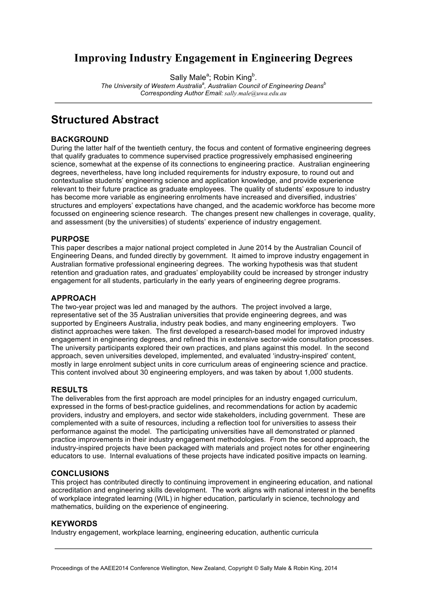## **Improving Industry Engagement in Engineering Degrees**

Sally Male<sup>a</sup>; Robin King<sup>b</sup>.

*The University of Western Australia<sup>a</sup> , Australian Council of Engineering Deansb Corresponding Author Email: sally.male@uwa.edu.au*

## **Structured Abstract**

### **BACKGROUND**

During the latter half of the twentieth century, the focus and content of formative engineering degrees that qualify graduates to commence supervised practice progressively emphasised engineering science, somewhat at the expense of its connections to engineering practice. Australian engineering degrees, nevertheless, have long included requirements for industry exposure, to round out and contextualise students' engineering science and application knowledge, and provide experience relevant to their future practice as graduate employees. The quality of students' exposure to industry has become more variable as engineering enrolments have increased and diversified, industries' structures and employers' expectations have changed, and the academic workforce has become more focussed on engineering science research. The changes present new challenges in coverage, quality, and assessment (by the universities) of students' experience of industry engagement.

### **PURPOSE**

This paper describes a major national project completed in June 2014 by the Australian Council of Engineering Deans, and funded directly by government. It aimed to improve industry engagement in Australian formative professional engineering degrees. The working hypothesis was that student retention and graduation rates, and graduates' employability could be increased by stronger industry engagement for all students, particularly in the early years of engineering degree programs.

### **APPROACH**

The two-year project was led and managed by the authors. The project involved a large, representative set of the 35 Australian universities that provide engineering degrees, and was supported by Engineers Australia, industry peak bodies, and many engineering employers. Two distinct approaches were taken. The first developed a research-based model for improved industry engagement in engineering degrees, and refined this in extensive sector-wide consultation processes. The university participants explored their own practices, and plans against this model. In the second approach, seven universities developed, implemented, and evaluated 'industry-inspired' content, mostly in large enrolment subject units in core curriculum areas of engineering science and practice. This content involved about 30 engineering employers, and was taken by about 1,000 students.

#### **RESULTS**

The deliverables from the first approach are model principles for an industry engaged curriculum, expressed in the forms of best-practice guidelines, and recommendations for action by academic providers, industry and employers, and sector wide stakeholders, including government. These are complemented with a suite of resources, including a reflection tool for universities to assess their performance against the model. The participating universities have all demonstrated or planned practice improvements in their industry engagement methodologies. From the second approach, the industry-inspired projects have been packaged with materials and project notes for other engineering educators to use. Internal evaluations of these projects have indicated positive impacts on learning.

#### **CONCLUSIONS**

This project has contributed directly to continuing improvement in engineering education, and national accreditation and engineering skills development. The work aligns with national interest in the benefits of workplace integrated learning (WIL) in higher education, particularly in science, technology and mathematics, building on the experience of engineering.

#### **KEYWORDS**

Industry engagement, workplace learning, engineering education, authentic curricula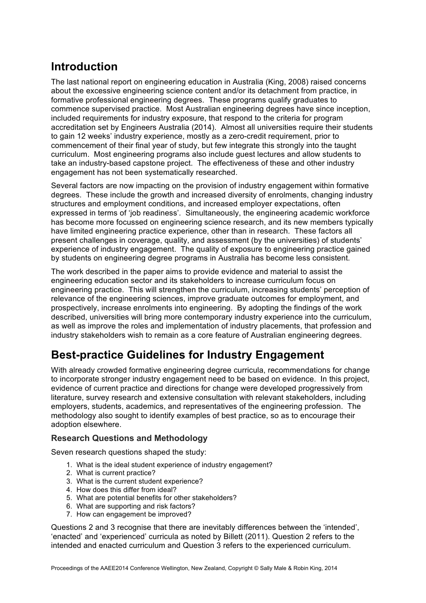# **Introduction**

The last national report on engineering education in Australia (King, 2008) raised concerns about the excessive engineering science content and/or its detachment from practice, in formative professional engineering degrees. These programs qualify graduates to commence supervised practice. Most Australian engineering degrees have since inception, included requirements for industry exposure, that respond to the criteria for program accreditation set by Engineers Australia (2014). Almost all universities require their students to gain 12 weeks' industry experience, mostly as a zero-credit requirement, prior to commencement of their final year of study, but few integrate this strongly into the taught curriculum. Most engineering programs also include guest lectures and allow students to take an industry-based capstone project. The effectiveness of these and other industry engagement has not been systematically researched.

Several factors are now impacting on the provision of industry engagement within formative degrees. These include the growth and increased diversity of enrolments, changing industry structures and employment conditions, and increased employer expectations, often expressed in terms of 'job readiness'. Simultaneously, the engineering academic workforce has become more focussed on engineering science research, and its new members typically have limited engineering practice experience, other than in research. These factors all present challenges in coverage, quality, and assessment (by the universities) of students' experience of industry engagement. The quality of exposure to engineering practice gained by students on engineering degree programs in Australia has become less consistent.

The work described in the paper aims to provide evidence and material to assist the engineering education sector and its stakeholders to increase curriculum focus on engineering practice. This will strengthen the curriculum, increasing students' perception of relevance of the engineering sciences, improve graduate outcomes for employment, and prospectively, increase enrolments into engineering. By adopting the findings of the work described, universities will bring more contemporary industry experience into the curriculum, as well as improve the roles and implementation of industry placements, that profession and industry stakeholders wish to remain as a core feature of Australian engineering degrees.

# **Best-practice Guidelines for Industry Engagement**

With already crowded formative engineering degree curricula, recommendations for change to incorporate stronger industry engagement need to be based on evidence. In this project, evidence of current practice and directions for change were developed progressively from literature, survey research and extensive consultation with relevant stakeholders, including employers, students, academics, and representatives of the engineering profession. The methodology also sought to identify examples of best practice, so as to encourage their adoption elsewhere.

## **Research Questions and Methodology**

Seven research questions shaped the study:

- 1. What is the ideal student experience of industry engagement?
- 2. What is current practice?
- 3. What is the current student experience?
- 4. How does this differ from ideal?
- 5. What are potential benefits for other stakeholders?
- 6. What are supporting and risk factors?
- 7. How can engagement be improved?

Questions 2 and 3 recognise that there are inevitably differences between the 'intended', 'enacted' and 'experienced' curricula as noted by Billett (2011). Question 2 refers to the intended and enacted curriculum and Question 3 refers to the experienced curriculum.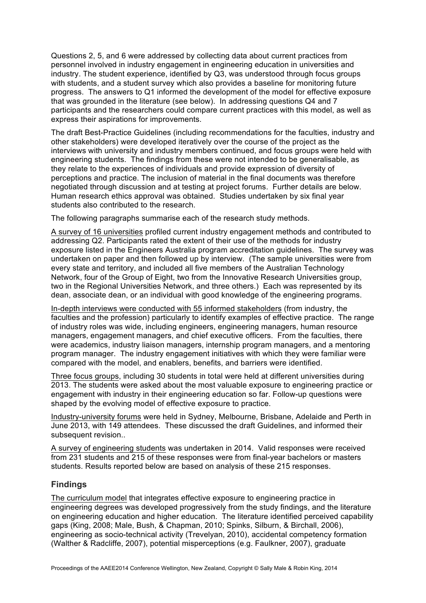Questions 2, 5, and 6 were addressed by collecting data about current practices from personnel involved in industry engagement in engineering education in universities and industry. The student experience, identified by Q3, was understood through focus groups with students, and a student survey which also provides a baseline for monitoring future progress. The answers to Q1 informed the development of the model for effective exposure that was grounded in the literature (see below). In addressing questions Q4 and 7 participants and the researchers could compare current practices with this model, as well as express their aspirations for improvements.

The draft Best-Practice Guidelines (including recommendations for the faculties, industry and other stakeholders) were developed iteratively over the course of the project as the interviews with university and industry members continued, and focus groups were held with engineering students. The findings from these were not intended to be generalisable, as they relate to the experiences of individuals and provide expression of diversity of perceptions and practice. The inclusion of material in the final documents was therefore negotiated through discussion and at testing at project forums. Further details are below. Human research ethics approval was obtained. Studies undertaken by six final year students also contributed to the research.

The following paragraphs summarise each of the research study methods.

A survey of 16 universities profiled current industry engagement methods and contributed to addressing Q2. Participants rated the extent of their use of the methods for industry exposure listed in the Engineers Australia program accreditation guidelines. The survey was undertaken on paper and then followed up by interview. (The sample universities were from every state and territory, and included all five members of the Australian Technology Network, four of the Group of Eight, two from the Innovative Research Universities group, two in the Regional Universities Network, and three others.) Each was represented by its dean, associate dean, or an individual with good knowledge of the engineering programs.

In-depth interviews were conducted with 55 informed stakeholders (from industry, the faculties and the profession) particularly to identify examples of effective practice. The range of industry roles was wide, including engineers, engineering managers, human resource managers, engagement managers, and chief executive officers. From the faculties, there were academics, industry liaison managers, internship program managers, and a mentoring program manager. The industry engagement initiatives with which they were familiar were compared with the model, and enablers, benefits, and barriers were identified.

Three focus groups, including 30 students in total were held at different universities during 2013. The students were asked about the most valuable exposure to engineering practice or engagement with industry in their engineering education so far. Follow-up questions were shaped by the evolving model of effective exposure to practice.

Industry-university forums were held in Sydney, Melbourne, Brisbane, Adelaide and Perth in June 2013, with 149 attendees. These discussed the draft Guidelines, and informed their subsequent revision..

A survey of engineering students was undertaken in 2014. Valid responses were received from 231 students and 215 of these responses were from final-year bachelors or masters students. Results reported below are based on analysis of these 215 responses.

## **Findings**

The curriculum model that integrates effective exposure to engineering practice in engineering degrees was developed progressively from the study findings, and the literature on engineering education and higher education. The literature identified perceived capability gaps (King, 2008; Male, Bush, & Chapman, 2010; Spinks, Silburn, & Birchall, 2006), engineering as socio-technical activity (Trevelyan, 2010), accidental competency formation (Walther & Radcliffe, 2007), potential misperceptions (e.g. Faulkner, 2007), graduate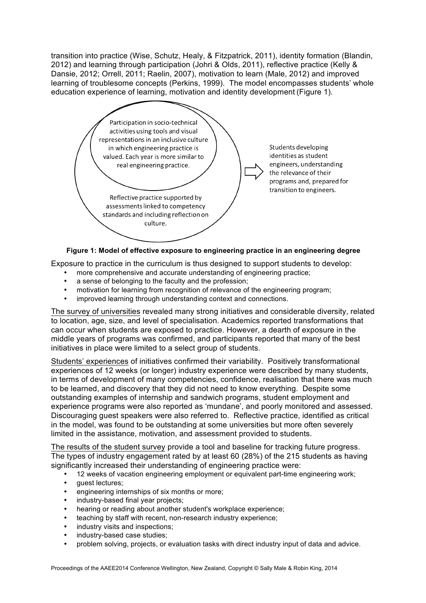transition into practice (Wise, Schutz, Healy, & Fitzpatrick, 2011), identity formation (Blandin, 2012) and learning through participation (Johri & Olds, 2011), reflective practice (Kelly & Dansie, 2012; Orrell, 2011; Raelin, 2007), motivation to learn (Male, 2012) and improved learning of troublesome concepts (Perkins, 1999). The model encompasses students' whole education experience of learning, motivation and identity development (Figure 1).



**Figure 1: Model of effective exposure to engineering practice in an engineering degree**

Exposure to practice in the curriculum is thus designed to support students to develop:

- more comprehensive and accurate understanding of engineering practice;
- a sense of belonging to the faculty and the profession;
- motivation for learning from recognition of relevance of the engineering program;
- improved learning through understanding context and connections.

The survey of universities revealed many strong initiatives and considerable diversity, related to location, age, size, and level of specialisation. Academics reported transformations that can occur when students are exposed to practice. However, a dearth of exposure in the middle years of programs was confirmed, and participants reported that many of the best initiatives in place were limited to a select group of students.

Students' experiences of initiatives confirmed their variability. Positively transformational experiences of 12 weeks (or longer) industry experience were described by many students, in terms of development of many competencies, confidence, realisation that there was much to be learned, and discovery that they did not need to know everything. Despite some outstanding examples of internship and sandwich programs, student employment and experience programs were also reported as 'mundane', and poorly monitored and assessed. Discouraging guest speakers were also referred to. Reflective practice, identified as critical in the model, was found to be outstanding at some universities but more often severely limited in the assistance, motivation, and assessment provided to students.

The results of the student survey provide a tool and baseline for tracking future progress. The types of industry engagement rated by at least 60 (28%) of the 215 students as having significantly increased their understanding of engineering practice were:

- 12 weeks of vacation engineering employment or equivalent part-time engineering work;
- guest lectures;<br>• engineering inte
- engineering internships of six months or more;
- industry-based final year projects;
- hearing or reading about another student's workplace experience;
- teaching by staff with recent, non-research industry experience;
- industry visits and inspections;
- industry-based case studies;
- problem solving, projects, or evaluation tasks with direct industry input of data and advice.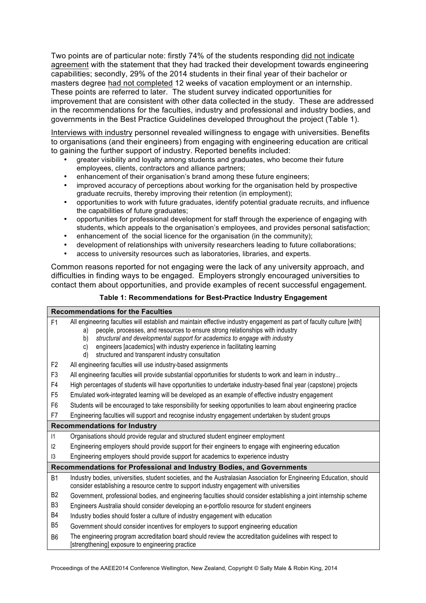Two points are of particular note: firstly 74% of the students responding did not indicate agreement with the statement that they had tracked their development towards engineering capabilities; secondly, 29% of the 2014 students in their final year of their bachelor or masters degree had not completed 12 weeks of vacation employment or an internship. These points are referred to later. The student survey indicated opportunities for improvement that are consistent with other data collected in the study. These are addressed in the recommendations for the faculties, industry and professional and industry bodies, and governments in the Best Practice Guidelines developed throughout the project (Table 1).

Interviews with industry personnel revealed willingness to engage with universities. Benefits to organisations (and their engineers) from engaging with engineering education are critical to gaining the further support of industry. Reported benefits included:

- greater visibility and loyalty among students and graduates, who become their future employees, clients, contractors and alliance partners;
- enhancement of their organisation's brand among these future engineers;
- improved accuracy of perceptions about working for the organisation held by prospective graduate recruits, thereby improving their retention (in employment);
- opportunities to work with future graduates, identify potential graduate recruits, and influence the capabilities of future graduates;
- opportunities for professional development for staff through the experience of engaging with students, which appeals to the organisation's employees, and provides personal satisfaction;
- enhancement of the social licence for the organisation (in the community);
- development of relationships with university researchers leading to future collaborations;
- access to university resources such as laboratories, libraries, and experts.

Common reasons reported for not engaging were the lack of any university approach, and difficulties in finding ways to be engaged. Employers strongly encouraged universities to contact them about opportunities, and provide examples of recent successful engagement.

#### **Table 1: Recommendations for Best-Practice Industry Engagement**

| <b>Recommendations for the Faculties</b>                              |                                                                                                                                                                                                                                                                                                                                                                                                                                             |  |  |
|-----------------------------------------------------------------------|---------------------------------------------------------------------------------------------------------------------------------------------------------------------------------------------------------------------------------------------------------------------------------------------------------------------------------------------------------------------------------------------------------------------------------------------|--|--|
| F <sub>1</sub>                                                        | All engineering faculties will establish and maintain effective industry engagement as part of faculty culture [with]<br>people, processes, and resources to ensure strong relationships with industry<br>a)<br>structural and developmental support for academics to engage with industry<br>b)<br>engineers [academics] with industry experience in facilitating learning<br>C)<br>structured and transparent industry consultation<br>d) |  |  |
| F <sub>2</sub>                                                        | All engineering faculties will use industry-based assignments                                                                                                                                                                                                                                                                                                                                                                               |  |  |
| F <sub>3</sub>                                                        | All engineering faculties will provide substantial opportunities for students to work and learn in industry                                                                                                                                                                                                                                                                                                                                 |  |  |
| F <sub>4</sub>                                                        | High percentages of students will have opportunities to undertake industry-based final year (capstone) projects                                                                                                                                                                                                                                                                                                                             |  |  |
| F <sub>5</sub>                                                        | Emulated work-integrated learning will be developed as an example of effective industry engagement                                                                                                                                                                                                                                                                                                                                          |  |  |
| F <sub>6</sub>                                                        | Students will be encouraged to take responsibility for seeking opportunities to learn about engineering practice                                                                                                                                                                                                                                                                                                                            |  |  |
| F7                                                                    | Engineering faculties will support and recognise industry engagement undertaken by student groups                                                                                                                                                                                                                                                                                                                                           |  |  |
| <b>Recommendations for Industry</b>                                   |                                                                                                                                                                                                                                                                                                                                                                                                                                             |  |  |
| $\vert$ 1                                                             | Organisations should provide regular and structured student engineer employment                                                                                                                                                                                                                                                                                                                                                             |  |  |
| 12                                                                    | Engineering employers should provide support for their engineers to engage with engineering education                                                                                                                                                                                                                                                                                                                                       |  |  |
| $\mathsf{I}3$                                                         | Engineering employers should provide support for academics to experience industry                                                                                                                                                                                                                                                                                                                                                           |  |  |
| Recommendations for Professional and Industry Bodies, and Governments |                                                                                                                                                                                                                                                                                                                                                                                                                                             |  |  |
| <b>B1</b>                                                             | Industry bodies, universities, student societies, and the Australasian Association for Engineering Education, should<br>consider establishing a resource centre to support industry engagement with universities                                                                                                                                                                                                                            |  |  |
| B <sub>2</sub>                                                        | Government, professional bodies, and engineering faculties should consider establishing a joint internship scheme                                                                                                                                                                                                                                                                                                                           |  |  |
| B <sub>3</sub>                                                        | Engineers Australia should consider developing an e-portfolio resource for student engineers                                                                                                                                                                                                                                                                                                                                                |  |  |
| B <sub>4</sub>                                                        | Industry bodies should foster a culture of industry engagement with education                                                                                                                                                                                                                                                                                                                                                               |  |  |
| B <sub>5</sub>                                                        | Government should consider incentives for employers to support engineering education                                                                                                                                                                                                                                                                                                                                                        |  |  |
| B <sub>6</sub>                                                        | The engineering program accreditation board should review the accreditation guidelines with respect to<br>[strengthening] exposure to engineering practice                                                                                                                                                                                                                                                                                  |  |  |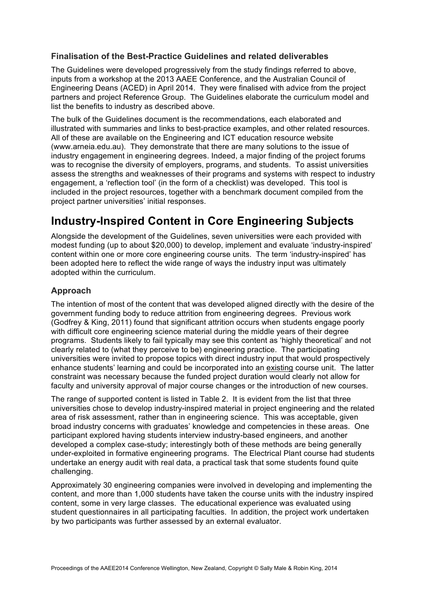### **Finalisation of the Best-Practice Guidelines and related deliverables**

The Guidelines were developed progressively from the study findings referred to above, inputs from a workshop at the 2013 AAEE Conference, and the Australian Council of Engineering Deans (ACED) in April 2014. They were finalised with advice from the project partners and project Reference Group. The Guidelines elaborate the curriculum model and list the benefits to industry as described above.

The bulk of the Guidelines document is the recommendations, each elaborated and illustrated with summaries and links to best-practice examples, and other related resources. All of these are available on the Engineering and ICT education resource website (www.arneia.edu.au). They demonstrate that there are many solutions to the issue of industry engagement in engineering degrees. Indeed, a major finding of the project forums was to recognise the diversity of employers, programs, and students. To assist universities assess the strengths and weaknesses of their programs and systems with respect to industry engagement, a 'reflection tool' (in the form of a checklist) was developed. This tool is included in the project resources, together with a benchmark document compiled from the project partner universities' initial responses.

## **Industry-Inspired Content in Core Engineering Subjects**

Alongside the development of the Guidelines, seven universities were each provided with modest funding (up to about \$20,000) to develop, implement and evaluate 'industry-inspired' content within one or more core engineering course units. The term 'industry-inspired' has been adopted here to reflect the wide range of ways the industry input was ultimately adopted within the curriculum.

## **Approach**

The intention of most of the content that was developed aligned directly with the desire of the government funding body to reduce attrition from engineering degrees. Previous work (Godfrey & King, 2011) found that significant attrition occurs when students engage poorly with difficult core engineering science material during the middle years of their degree programs. Students likely to fail typically may see this content as 'highly theoretical' and not clearly related to (what they perceive to be) engineering practice. The participating universities were invited to propose topics with direct industry input that would prospectively enhance students' learning and could be incorporated into an existing course unit. The latter constraint was necessary because the funded project duration would clearly not allow for faculty and university approval of major course changes or the introduction of new courses.

The range of supported content is listed in Table 2. It is evident from the list that three universities chose to develop industry-inspired material in project engineering and the related area of risk assessment, rather than in engineering science. This was acceptable, given broad industry concerns with graduates' knowledge and competencies in these areas. One participant explored having students interview industry-based engineers, and another developed a complex case-study; interestingly both of these methods are being generally under-exploited in formative engineering programs. The Electrical Plant course had students undertake an energy audit with real data, a practical task that some students found quite challenging.

Approximately 30 engineering companies were involved in developing and implementing the content, and more than 1,000 students have taken the course units with the industry inspired content, some in very large classes. The educational experience was evaluated using student questionnaires in all participating faculties. In addition, the project work undertaken by two participants was further assessed by an external evaluator.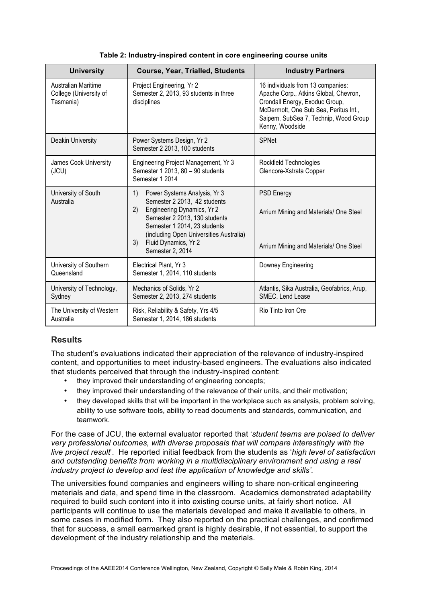| <b>University</b>                                                 | <b>Course, Year, Trialled, Students</b>                                                                                                                                                                                                                              | <b>Industry Partners</b>                                                                                                                                                                                          |
|-------------------------------------------------------------------|----------------------------------------------------------------------------------------------------------------------------------------------------------------------------------------------------------------------------------------------------------------------|-------------------------------------------------------------------------------------------------------------------------------------------------------------------------------------------------------------------|
| <b>Australian Maritime</b><br>College (University of<br>Tasmania) | Project Engineering, Yr 2<br>Semester 2, 2013, 93 students in three<br>disciplines                                                                                                                                                                                   | 16 individuals from 13 companies:<br>Apache Corp., Atkins Global, Chevron,<br>Crondall Energy, Exoduc Group,<br>McDermott, One Sub Sea, Peritus Int.,<br>Saipem, SubSea 7, Technip, Wood Group<br>Kenny, Woodside |
| <b>Deakin University</b>                                          | Power Systems Design, Yr 2<br>Semester 2 2013, 100 students                                                                                                                                                                                                          | <b>SPNet</b>                                                                                                                                                                                                      |
| James Cook University<br>(JCU)                                    | Engineering Project Management, Yr 3<br>Semester 1 2013, 80 - 90 students<br>Semester 1 2014                                                                                                                                                                         | Rockfield Technologies<br>Glencore-Xstrata Copper                                                                                                                                                                 |
| University of South<br>Australia                                  | 1)<br>Power Systems Analysis, Yr 3<br>Semester 2 2013, 42 students<br>2)<br>Engineering Dynamics, Yr 2<br>Semester 2 2013, 130 students<br>Semester 1 2014, 23 students<br>(including Open Universities Australia)<br>Fluid Dynamics, Yr 2<br>3)<br>Semester 2, 2014 | <b>PSD Energy</b><br>Arrium Mining and Materials/ One Steel<br>Arrium Mining and Materials/ One Steel                                                                                                             |
| University of Southern<br>Queensland                              | Electrical Plant, Yr 3<br>Semester 1, 2014, 110 students                                                                                                                                                                                                             | Downey Engineering                                                                                                                                                                                                |
| University of Technology,<br>Sydney                               | Mechanics of Solids, Yr 2<br>Semester 2, 2013, 274 students                                                                                                                                                                                                          | Atlantis, Sika Australia, Geofabrics, Arup,<br>SMEC, Lend Lease                                                                                                                                                   |
| The University of Western<br>Australia                            | Risk, Reliability & Safety, Yrs 4/5<br>Semester 1, 2014, 186 students                                                                                                                                                                                                | Rio Tinto Iron Ore                                                                                                                                                                                                |

**Table 2: Industry-inspired content in core engineering course units** 

## **Results**

The student's evaluations indicated their appreciation of the relevance of industry-inspired content, and opportunities to meet industry-based engineers. The evaluations also indicated that students perceived that through the industry-inspired content:

- they improved their understanding of engineering concepts;
- they improved their understanding of the relevance of their units, and their motivation;
- they developed skills that will be important in the workplace such as analysis, problem solving, ability to use software tools, ability to read documents and standards, communication, and teamwork.

For the case of JCU, the external evaluator reported that '*student teams are poised to deliver very professional outcomes, with diverse proposals that will compare interestingly with the live project result*'. He reported initial feedback from the students as '*high level of satisfaction and outstanding benefits from working in a multidisciplinary environment and using a real industry project to develop and test the application of knowledge and skills'.* 

The universities found companies and engineers willing to share non-critical engineering materials and data, and spend time in the classroom. Academics demonstrated adaptability required to build such content into it into existing course units, at fairly short notice. All participants will continue to use the materials developed and make it available to others, in some cases in modified form. They also reported on the practical challenges, and confirmed that for success, a small earmarked grant is highly desirable, if not essential, to support the development of the industry relationship and the materials.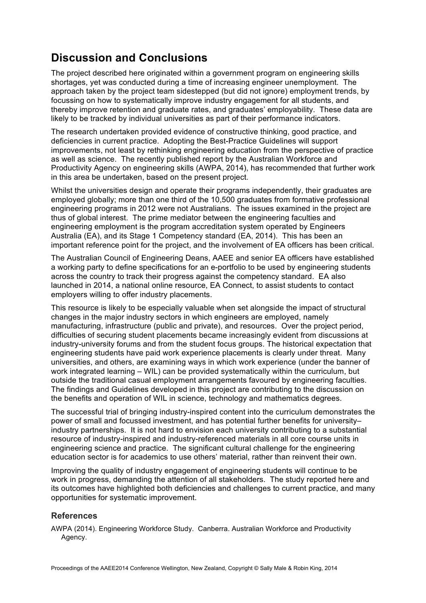## **Discussion and Conclusions**

The project described here originated within a government program on engineering skills shortages, yet was conducted during a time of increasing engineer unemployment. The approach taken by the project team sidestepped (but did not ignore) employment trends, by focussing on how to systematically improve industry engagement for all students, and thereby improve retention and graduate rates, and graduates' employability. These data are likely to be tracked by individual universities as part of their performance indicators.

The research undertaken provided evidence of constructive thinking, good practice, and deficiencies in current practice. Adopting the Best-Practice Guidelines will support improvements, not least by rethinking engineering education from the perspective of practice as well as science. The recently published report by the Australian Workforce and Productivity Agency on engineering skills (AWPA, 2014), has recommended that further work in this area be undertaken, based on the present project.

Whilst the universities design and operate their programs independently, their graduates are employed globally; more than one third of the 10,500 graduates from formative professional engineering programs in 2012 were not Australians. The issues examined in the project are thus of global interest. The prime mediator between the engineering faculties and engineering employment is the program accreditation system operated by Engineers Australia (EA), and its Stage 1 Competency standard (EA, 2014). This has been an important reference point for the project, and the involvement of EA officers has been critical.

The Australian Council of Engineering Deans, AAEE and senior EA officers have established a working party to define specifications for an e-portfolio to be used by engineering students across the country to track their progress against the competency standard. EA also launched in 2014, a national online resource, EA Connect, to assist students to contact employers willing to offer industry placements.

This resource is likely to be especially valuable when set alongside the impact of structural changes in the major industry sectors in which engineers are employed, namely manufacturing, infrastructure (public and private), and resources. Over the project period, difficulties of securing student placements became increasingly evident from discussions at industry-university forums and from the student focus groups. The historical expectation that engineering students have paid work experience placements is clearly under threat. Many universities, and others, are examining ways in which work experience (under the banner of work integrated learning – WIL) can be provided systematically within the curriculum, but outside the traditional casual employment arrangements favoured by engineering faculties. The findings and Guidelines developed in this project are contributing to the discussion on the benefits and operation of WIL in science, technology and mathematics degrees.

The successful trial of bringing industry-inspired content into the curriculum demonstrates the power of small and focussed investment, and has potential further benefits for university– industry partnerships. It is not hard to envision each university contributing to a substantial resource of industry-inspired and industry-referenced materials in all core course units in engineering science and practice. The significant cultural challenge for the engineering education sector is for academics to use others' material, rather than reinvent their own.

Improving the quality of industry engagement of engineering students will continue to be work in progress, demanding the attention of all stakeholders. The study reported here and its outcomes have highlighted both deficiencies and challenges to current practice, and many opportunities for systematic improvement.

## **References**

AWPA (2014). Engineering Workforce Study. Canberra. Australian Workforce and Productivity Agency.